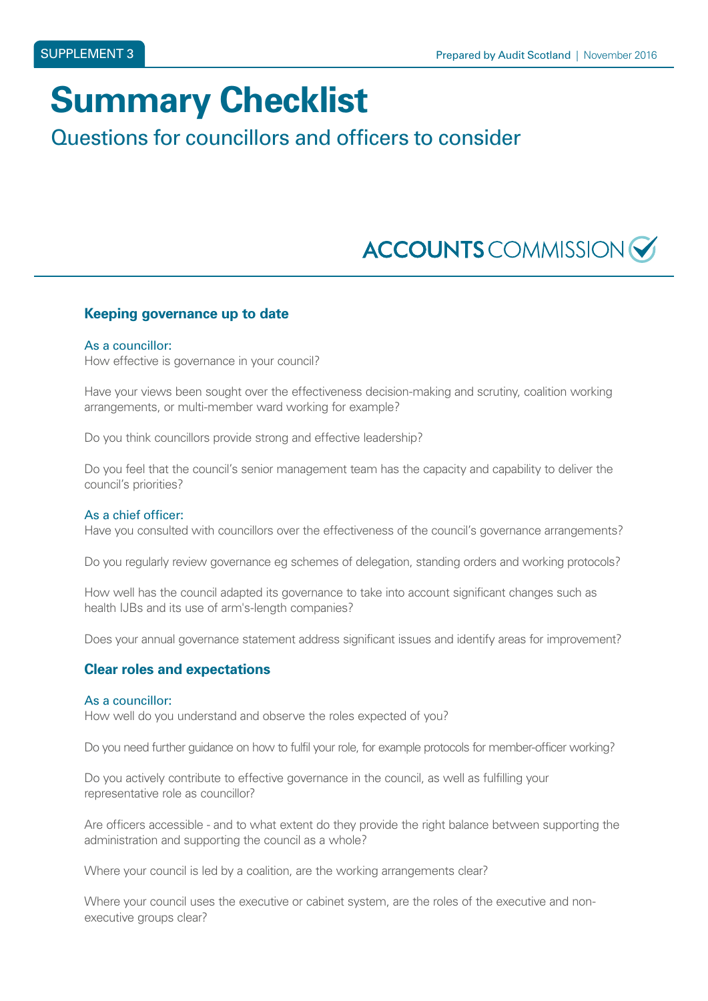# **Summary Checklist**

### Questions for councillors and officers to consider

## **ACCOUNTS** COMMISSION

#### **Keeping governance up to date**

#### As a councillor:

How effective is governance in your council?

Have your views been sought over the effectiveness decision-making and scrutiny, coalition working arrangements, or multi-member ward working for example?

Do you think councillors provide strong and effective leadership?

Do you feel that the council's senior management team has the capacity and capability to deliver the council's priorities?

#### As a chief officer:

Have you consulted with councillors over the effectiveness of the council's governance arrangements?

Do you regularly review governance eg schemes of delegation, standing orders and working protocols?

How well has the council adapted its governance to take into account significant changes such as health IJBs and its use of arm's-length companies?

Does your annual governance statement address significant issues and identify areas for improvement?

#### **Clear roles and expectations**

#### As a councillor:

How well do you understand and observe the roles expected of you?

Do you need further guidance on how to fulfil your role, for example protocols for member-officer working?

Do you actively contribute to effective governance in the council, as well as fulfilling your representative role as councillor?

Are officers accessible - and to what extent do they provide the right balance between supporting the administration and supporting the council as a whole?

Where your council is led by a coalition, are the working arrangements clear?

Where your council uses the executive or cabinet system, are the roles of the executive and nonexecutive groups clear?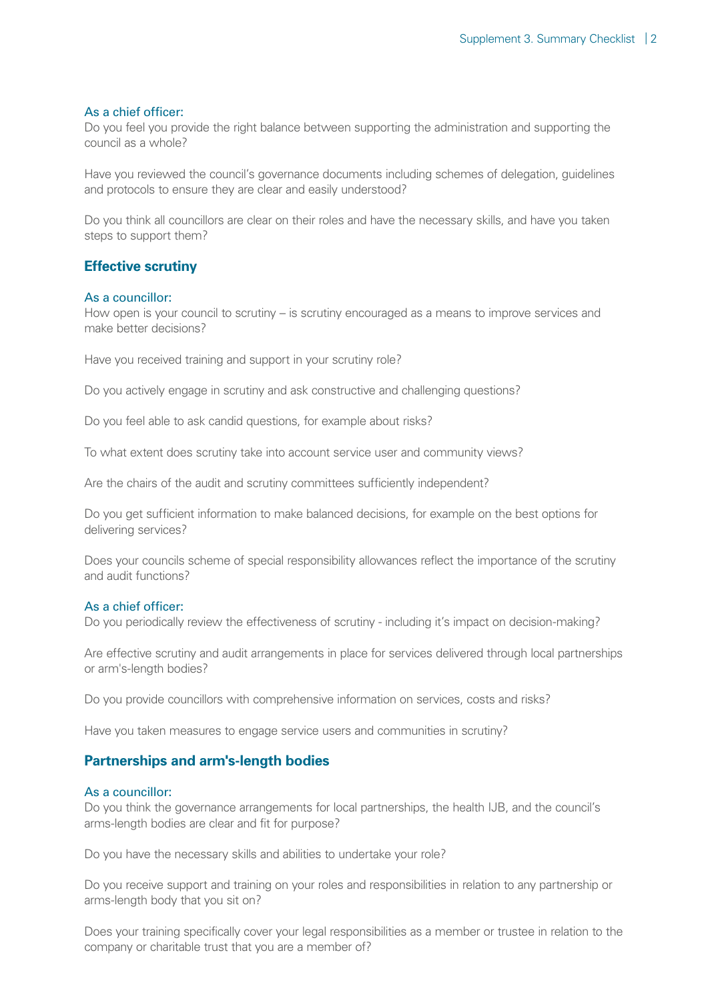#### As a chief officer:

Do you feel you provide the right balance between supporting the administration and supporting the council as a whole?

Have you reviewed the council's governance documents including schemes of delegation, guidelines and protocols to ensure they are clear and easily understood?

Do you think all councillors are clear on their roles and have the necessary skills, and have you taken steps to support them?

#### **Effective scrutiny**

#### As a councillor:

How open is your council to scrutiny – is scrutiny encouraged as a means to improve services and make better decisions?

Have you received training and support in your scrutiny role?

Do you actively engage in scrutiny and ask constructive and challenging questions?

Do you feel able to ask candid questions, for example about risks?

To what extent does scrutiny take into account service user and community views?

Are the chairs of the audit and scrutiny committees sufficiently independent?

Do you get sufficient information to make balanced decisions, for example on the best options for delivering services?

Does your councils scheme of special responsibility allowances reflect the importance of the scrutiny and audit functions?

#### As a chief officer:

Do you periodically review the effectiveness of scrutiny - including it's impact on decision-making?

Are effective scrutiny and audit arrangements in place for services delivered through local partnerships or arm's-length bodies?

Do you provide councillors with comprehensive information on services, costs and risks?

Have you taken measures to engage service users and communities in scrutiny?

#### **Partnerships and arm's-length bodies**

#### As a councillor:

Do you think the governance arrangements for local partnerships, the health IJB, and the council's arms-length bodies are clear and fit for purpose?

Do you have the necessary skills and abilities to undertake your role?

Do you receive support and training on your roles and responsibilities in relation to any partnership or arms-length body that you sit on?

Does your training specifically cover your legal responsibilities as a member or trustee in relation to the company or charitable trust that you are a member of?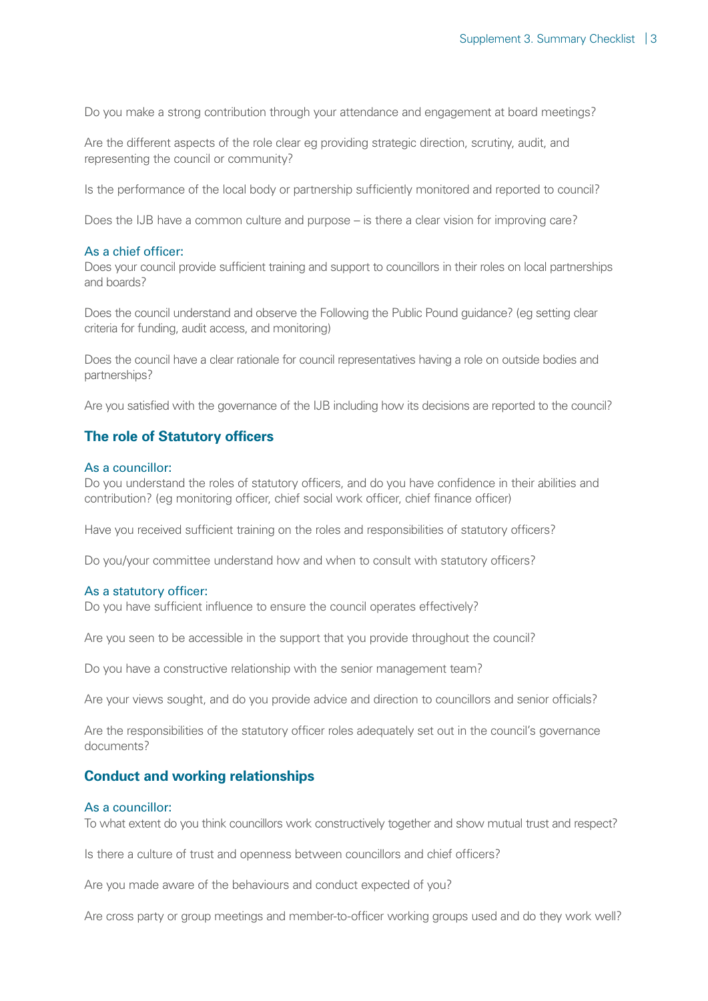Do you make a strong contribution through your attendance and engagement at board meetings?

Are the different aspects of the role clear eg providing strategic direction, scrutiny, audit, and representing the council or community?

Is the performance of the local body or partnership sufficiently monitored and reported to council?

Does the IJB have a common culture and purpose – is there a clear vision for improving care?

#### As a chief officer:

Does your council provide sufficient training and support to councillors in their roles on local partnerships and boards?

Does the council understand and observe the Following the Public Pound guidance? (eg setting clear criteria for funding, audit access, and monitoring)

Does the council have a clear rationale for council representatives having a role on outside bodies and partnerships?

Are you satisfied with the governance of the IJB including how its decisions are reported to the council?

#### **The role of Statutory officers**

#### As a councillor:

Do you understand the roles of statutory officers, and do you have confidence in their abilities and contribution? (eg monitoring officer, chief social work officer, chief finance officer)

Have you received sufficient training on the roles and responsibilities of statutory officers?

Do you/your committee understand how and when to consult with statutory officers?

#### As a statutory officer:

Do you have sufficient influence to ensure the council operates effectively?

Are you seen to be accessible in the support that you provide throughout the council?

Do you have a constructive relationship with the senior management team?

Are your views sought, and do you provide advice and direction to councillors and senior officials?

Are the responsibilities of the statutory officer roles adequately set out in the council's governance documents?

#### **Conduct and working relationships**

#### As a councillor:

To what extent do you think councillors work constructively together and show mutual trust and respect?

Is there a culture of trust and openness between councillors and chief officers?

Are you made aware of the behaviours and conduct expected of you?

Are cross party or group meetings and member-to-officer working groups used and do they work well?